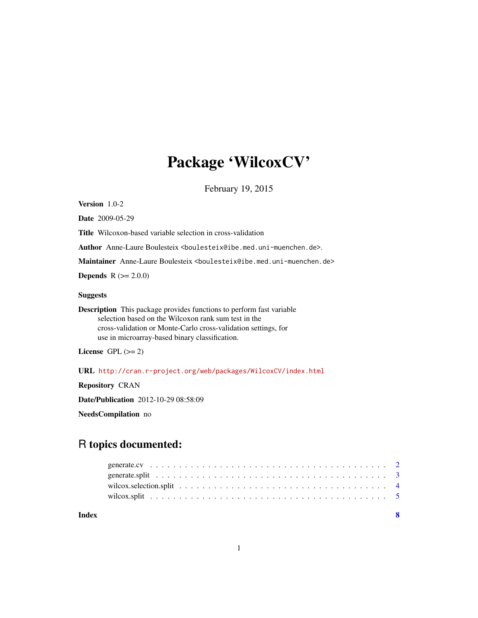## Package 'WilcoxCV'

February 19, 2015

<span id="page-0-0"></span>Version 1.0-2

Date 2009-05-29

Title Wilcoxon-based variable selection in cross-validation

Author Anne-Laure Boulesteix <boulesteix@ibe.med.uni-muenchen.de>.

Maintainer Anne-Laure Boulesteix <br/>boulesteix@ibe.med.uni-muenchen.de>

**Depends**  $R (= 2.0.0)$ 

## Suggests

Description This package provides functions to perform fast variable selection based on the Wilcoxon rank sum test in the cross-validation or Monte-Carlo cross-validation settings, for use in microarray-based binary classification.

License GPL  $(>= 2)$ 

URL <http://cran.r-project.org/web/packages/WilcoxCV/index.html>

Repository CRAN

Date/Publication 2012-10-29 08:58:09

NeedsCompilation no

## R topics documented:

| Index |  |
|-------|--|
|       |  |
|       |  |
|       |  |
|       |  |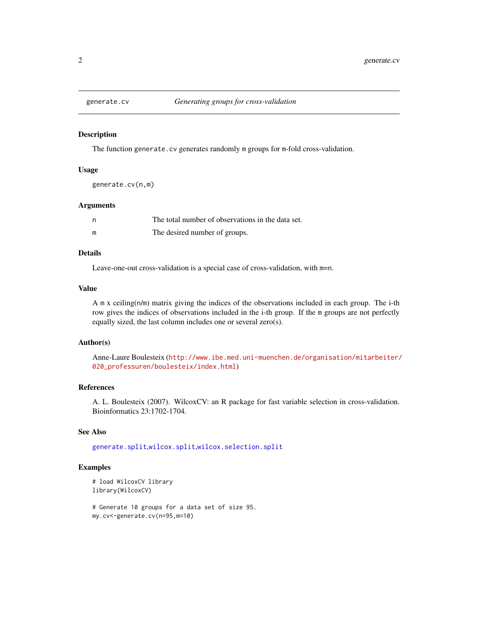<span id="page-1-1"></span><span id="page-1-0"></span>

#### Description

The function generate.cv generates randomly m groups for m-fold cross-validation.

#### Usage

generate.cv(n,m)

## Arguments

|   | The total number of observations in the data set. |
|---|---------------------------------------------------|
| m | The desired number of groups.                     |

## Details

Leave-one-out cross-validation is a special case of cross-validation, with m=n.

## Value

A  $m \times$  ceiling( $n/m$ ) matrix giving the indices of the observations included in each group. The i-th row gives the indices of observations included in the i-th group. If the m groups are not perfectly equally sized, the last column includes one or several zero(s).

## Author(s)

Anne-Laure Boulesteix ([http://www.ibe.med.uni-muenchen.de/organisation/mitarbeiter/](http://www.ibe.med.uni-muenchen.de/organisation/mitarbeiter/020_professuren/boulesteix/index.html) [020\\_professuren/boulesteix/index.html](http://www.ibe.med.uni-muenchen.de/organisation/mitarbeiter/020_professuren/boulesteix/index.html))

## References

A. L. Boulesteix (2007). WilcoxCV: an R package for fast variable selection in cross-validation. Bioinformatics 23:1702-1704.

## See Also

[generate.split](#page-2-1),[wilcox.split](#page-4-1),[wilcox.selection.split](#page-3-1)

## Examples

```
# load WilcoxCV library
library(WilcoxCV)
```
# Generate 10 groups for a data set of size 95. my.cv<-generate.cv(n=95,m=10)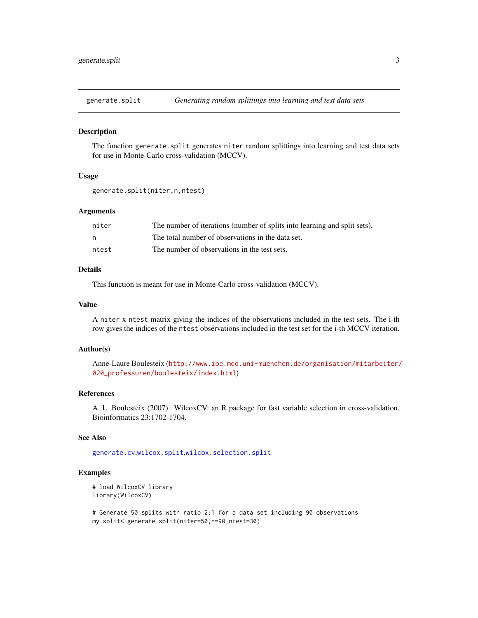<span id="page-2-1"></span><span id="page-2-0"></span>

#### Description

The function generate.split generates niter random splittings into learning and test data sets for use in Monte-Carlo cross-validation (MCCV).

## Usage

```
generate.split(niter,n,ntest)
```
## Arguments

| niter | The number of iterations (number of splits into learning and split sets). |
|-------|---------------------------------------------------------------------------|
| n     | The total number of observations in the data set.                         |
| ntest | The number of observations in the test sets.                              |

## Details

This function is meant for use in Monte-Carlo cross-validation (MCCV).

#### Value

A niter x ntest matrix giving the indices of the observations included in the test sets. The i-th row gives the indices of the ntest observations included in the test set for the i-th MCCV iteration.

#### Author(s)

Anne-Laure Boulesteix ([http://www.ibe.med.uni-muenchen.de/organisation/mitarbeiter/](http://www.ibe.med.uni-muenchen.de/organisation/mitarbeiter/020_professuren/boulesteix/index.html) [020\\_professuren/boulesteix/index.html](http://www.ibe.med.uni-muenchen.de/organisation/mitarbeiter/020_professuren/boulesteix/index.html))

#### References

A. L. Boulesteix (2007). WilcoxCV: an R package for fast variable selection in cross-validation. Bioinformatics 23:1702-1704.

## See Also

[generate.cv](#page-1-1),[wilcox.split](#page-4-1),[wilcox.selection.split](#page-3-1)

## Examples

```
# load WilcoxCV library
library(WilcoxCV)
```
# Generate 50 splits with ratio 2:1 for a data set including 90 observations my.split<-generate.split(niter=50,n=90,ntest=30)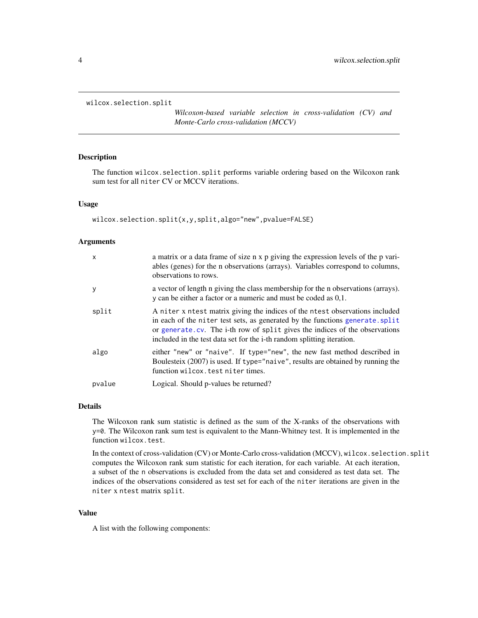<span id="page-3-1"></span><span id="page-3-0"></span>wilcox.selection.split

*Wilcoxon-based variable selection in cross-validation (CV) and Monte-Carlo cross-validation (MCCV)*

## Description

The function wilcox.selection.split performs variable ordering based on the Wilcoxon rank sum test for all niter CV or MCCV iterations.

#### Usage

```
wilcox.selection.split(x,y,split,algo="new",pvalue=FALSE)
```
## Arguments

| $\mathsf{x}$ | a matrix or a data frame of size n x p giving the expression levels of the p vari-<br>ables (genes) for the n observations (arrays). Variables correspond to columns,<br>observations to rows.                                                                                                                                 |
|--------------|--------------------------------------------------------------------------------------------------------------------------------------------------------------------------------------------------------------------------------------------------------------------------------------------------------------------------------|
| y            | a vector of length n giving the class membership for the n observations (arrays).<br>y can be either a factor or a numeric and must be coded as $0,1$ .                                                                                                                                                                        |
| split        | A niter x ntest matrix giving the indices of the ntest observations included<br>in each of the niter test sets, as generated by the functions generate. split<br>or generate.cv. The i-th row of split gives the indices of the observations<br>included in the test data set for the <i>i</i> -th random splitting iteration. |
| algo         | either "new" or "naive". If type="new", the new fast method described in<br>Boulesteix (2007) is used. If type="naive", results are obtained by running the<br>function wilcox. test niter times.                                                                                                                              |
| pvalue       | Logical. Should p-values be returned?                                                                                                                                                                                                                                                                                          |

#### Details

The Wilcoxon rank sum statistic is defined as the sum of the X-ranks of the observations with y=0. The Wilcoxon rank sum test is equivalent to the Mann-Whitney test. It is implemented in the function wilcox.test.

In the context of cross-validation (CV) or Monte-Carlo cross-validation (MCCV), wilcox.selection.split computes the Wilcoxon rank sum statistic for each iteration, for each variable. At each iteration, a subset of the n observations is excluded from the data set and considered as test data set. The indices of the observations considered as test set for each of the niter iterations are given in the niter x ntest matrix split.

#### Value

A list with the following components: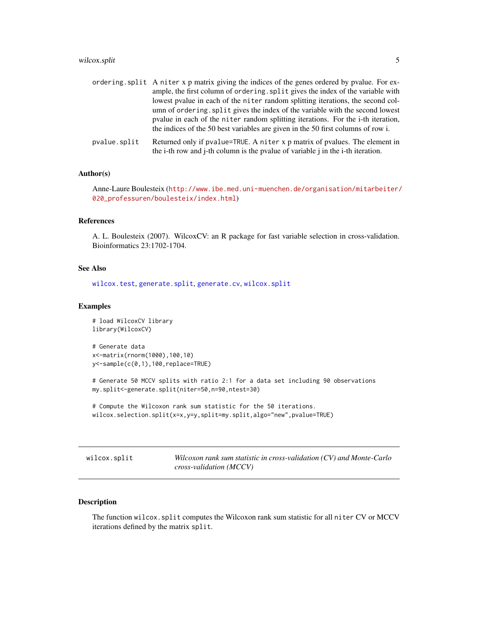## <span id="page-4-0"></span>wilcox.split 5

|              | ordering split A niter x p matrix giving the indices of the genes ordered by pvalue. For ex-<br>ample, the first column of ordering. split gives the index of the variable with |
|--------------|---------------------------------------------------------------------------------------------------------------------------------------------------------------------------------|
|              | lowest pvalue in each of the niter random splitting iterations, the second col-<br>umn of ordering. split gives the index of the variable with the second lowest                |
|              | poulue in each of the niter random splitting iterations. For the <i>i</i> -th iteration,<br>the indices of the 50 best variables are given in the 50 first columns of row i.    |
| pvalue.split | Returned only if pvalue=TRUE. A niter x p matrix of pvalues. The element in                                                                                                     |

## Author(s)

Anne-Laure Boulesteix ([http://www.ibe.med.uni-muenchen.de/organisation/mitarbeiter/](http://www.ibe.med.uni-muenchen.de/organisation/mitarbeiter/020_professuren/boulesteix/index.html) [020\\_professuren/boulesteix/index.html](http://www.ibe.med.uni-muenchen.de/organisation/mitarbeiter/020_professuren/boulesteix/index.html))

the i-th row and j-th column is the pvalue of variable j in the i-th iteration.

## References

A. L. Boulesteix (2007). WilcoxCV: an R package for fast variable selection in cross-validation. Bioinformatics 23:1702-1704.

## See Also

[wilcox.test](#page-0-0), [generate.split](#page-2-1), [generate.cv](#page-1-1), [wilcox.split](#page-4-1)

#### Examples

```
# load WilcoxCV library
library(WilcoxCV)
# Generate data
x<-matrix(rnorm(1000),100,10)
y<-sample(c(0,1),100,replace=TRUE)
```

```
# Generate 50 MCCV splits with ratio 2:1 for a data set including 90 observations
my.split<-generate.split(niter=50,n=90,ntest=30)
```

```
# Compute the Wilcoxon rank sum statistic for the 50 iterations.
wilcox.selection.split(x=x,y=y,split=my.split,algo="new",pvalue=TRUE)
```
<span id="page-4-1"></span>wilcox.split *Wilcoxon rank sum statistic in cross-validation (CV) and Monte-Carlo cross-validation (MCCV)*

## Description

The function wilcox.split computes the Wilcoxon rank sum statistic for all niter CV or MCCV iterations defined by the matrix split.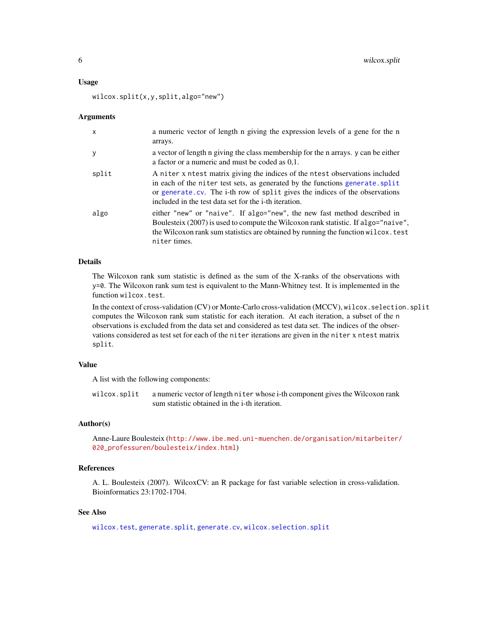#### <span id="page-5-0"></span>Usage

wilcox.split(x,y,split,algo="new")

#### Arguments

| $\mathsf{x}$ | a numeric vector of length n giving the expression levels of a gene for the n<br>arrays.                                                                                                                                                                                                                      |
|--------------|---------------------------------------------------------------------------------------------------------------------------------------------------------------------------------------------------------------------------------------------------------------------------------------------------------------|
| y            | a vector of length n giving the class membership for the n arrays. y can be either<br>a factor or a numeric and must be coded as 0,1.                                                                                                                                                                         |
| split        | A niter x ntest matrix giving the indices of the ntest observations included<br>in each of the niter test sets, as generated by the functions generate. split<br>or generate.cv. The i-th row of split gives the indices of the observations<br>included in the test data set for the <i>i</i> -th iteration. |
| algo         | either "new" or "naive". If algo="new", the new fast method described in<br>Boulesteix (2007) is used to compute the Wilcoxon rank statistic. If algo="naive",<br>the Wilcoxon rank sum statistics are obtained by running the function wilcox. test<br>niter times.                                          |

## Details

The Wilcoxon rank sum statistic is defined as the sum of the X-ranks of the observations with y=0. The Wilcoxon rank sum test is equivalent to the Mann-Whitney test. It is implemented in the function wilcox.test.

In the context of cross-validation (CV) or Monte-Carlo cross-validation (MCCV), wilcox.selection.split computes the Wilcoxon rank sum statistic for each iteration. At each iteration, a subset of the n observations is excluded from the data set and considered as test data set. The indices of the observations considered as test set for each of the niter iterations are given in the niter x ntest matrix split.

## Value

A list with the following components:

wilcox.split a numeric vector of length niter whose i-th component gives the Wilcoxon rank sum statistic obtained in the i-th iteration.

## Author(s)

Anne-Laure Boulesteix ([http://www.ibe.med.uni-muenchen.de/organisation/mitarbeiter/](http://www.ibe.med.uni-muenchen.de/organisation/mitarbeiter/020_professuren/boulesteix/index.html) [020\\_professuren/boulesteix/index.html](http://www.ibe.med.uni-muenchen.de/organisation/mitarbeiter/020_professuren/boulesteix/index.html))

## References

A. L. Boulesteix (2007). WilcoxCV: an R package for fast variable selection in cross-validation. Bioinformatics 23:1702-1704.

## See Also

[wilcox.test](#page-0-0), [generate.split](#page-2-1), [generate.cv](#page-1-1), [wilcox.selection.split](#page-3-1)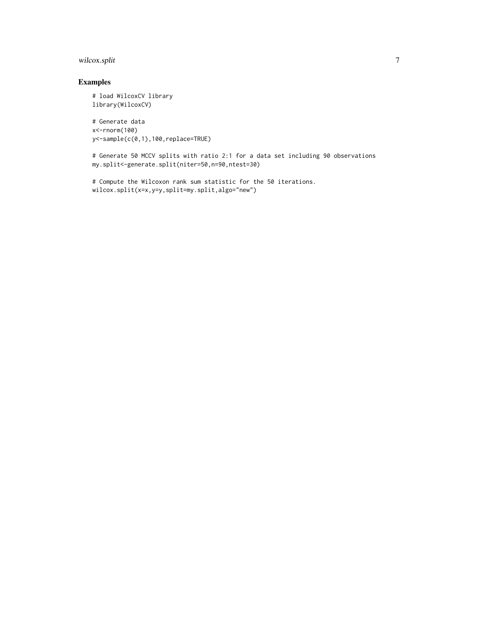## wilcox.split 7

## Examples

```
# load WilcoxCV library
library(WilcoxCV)
# Generate data
x<-rnorm(100)
y<-sample(c(0,1),100,replace=TRUE)
```

```
# Generate 50 MCCV splits with ratio 2:1 for a data set including 90 observations
my.split<-generate.split(niter=50,n=90,ntest=30)
```

```
# Compute the Wilcoxon rank sum statistic for the 50 iterations.
wilcox.split(x=x,y=y,split=my.split,algo="new")
```